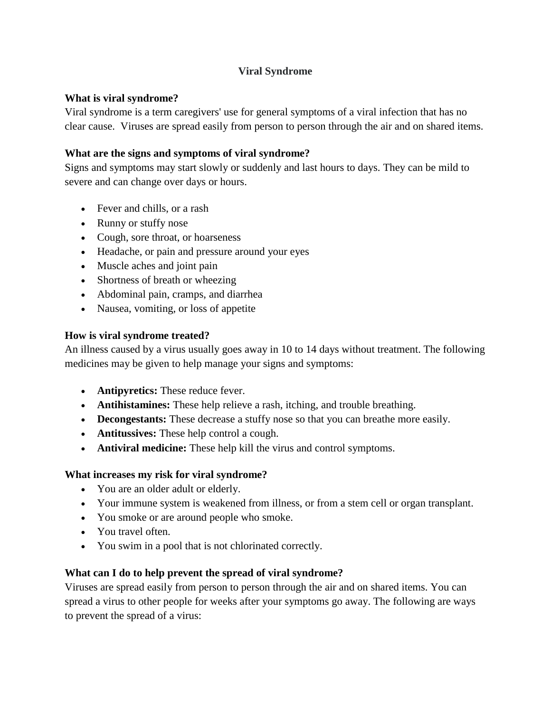## **Viral Syndrome**

## **What is viral syndrome?**

Viral syndrome is a term caregivers' use for general symptoms of a viral infection that has no clear cause. Viruses are spread easily from person to person through the air and on shared items.

# **What are the signs and symptoms of viral syndrome?**

Signs and symptoms may start slowly or suddenly and last hours to days. They can be mild to severe and can change over days or hours.

- Fever and chills, or a rash
- Runny or stuffy nose
- Cough, sore throat, or hoarseness
- Headache, or pain and pressure around your eyes
- Muscle aches and joint pain
- Shortness of breath or wheezing
- Abdominal pain, cramps, and diarrhea
- Nausea, vomiting, or loss of appetite

## **How is viral syndrome treated?**

An illness caused by a virus usually goes away in 10 to 14 days without treatment. The following medicines may be given to help manage your signs and symptoms:

- **Antipyretics:** These reduce fever.
- **Antihistamines:** These help relieve a rash, itching, and trouble breathing.
- **Decongestants:** These decrease a stuffy nose so that you can breathe more easily.
- **Antitussives:** These help control a cough.
- **Antiviral medicine:** These help kill the virus and control symptoms.

## **What increases my risk for viral syndrome?**

- You are an older adult or elderly.
- Your immune system is weakened from illness, or from a stem cell or organ transplant.
- You smoke or are around people who smoke.
- You travel often.
- You swim in a pool that is not chlorinated correctly.

## **What can I do to help prevent the spread of viral syndrome?**

Viruses are spread easily from person to person through the air and on shared items. You can spread a virus to other people for weeks after your symptoms go away. The following are ways to prevent the spread of a virus: